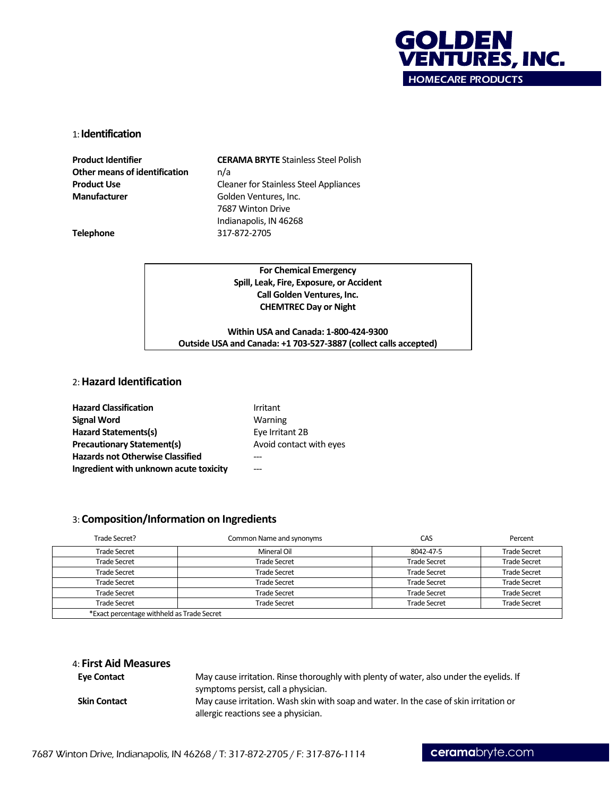

#### 1: **Identification**

**Other means of identification** n/a **Manufacturer** Golden Ventures, Inc.

**Product Identifier CERAMA BRYTE** Stainless Steel Polish **Product Use** Cleaner for Stainless Steel Appliances 7687 Winton Drive Indianapolis, IN 46268 **Telephone** 317-872-2705

**For Chemical Emergency Spill, Leak, Fire, Exposure, or Accident Call Golden Ventures, Inc. CHEMTREC Day or Night**

**Within USA and Canada: 1-800-424-9300 Outside USA and Canada: +1 703-527-3887 (collect calls accepted)**

# 2: **Hazard Identification**

| <b>Hazard Classification</b>            | Irritant                |
|-----------------------------------------|-------------------------|
| <b>Signal Word</b>                      | Warning                 |
| Hazard Statements(s)                    | Eye Irritant 2B         |
| <b>Precautionary Statement(s)</b>       | Avoid contact with eyes |
| <b>Hazards not Otherwise Classified</b> |                         |
| Ingredient with unknown acute toxicity  |                         |

## 3: **Composition/Information on Ingredients**

| Trade Secret?                              | Common Name and synonyms | CAS                 | Percent             |
|--------------------------------------------|--------------------------|---------------------|---------------------|
| <b>Trade Secret</b>                        | Mineral Oil              | 8042-47-5           | <b>Trade Secret</b> |
| <b>Trade Secret</b>                        | <b>Trade Secret</b>      | <b>Trade Secret</b> | <b>Trade Secret</b> |
| <b>Trade Secret</b>                        | <b>Trade Secret</b>      | <b>Trade Secret</b> | <b>Trade Secret</b> |
| <b>Trade Secret</b>                        | <b>Trade Secret</b>      | <b>Trade Secret</b> | <b>Trade Secret</b> |
| <b>Trade Secret</b>                        | <b>Trade Secret</b>      | <b>Trade Secret</b> | <b>Trade Secret</b> |
| <b>Trade Secret</b>                        | <b>Trade Secret</b>      | <b>Trade Secret</b> | <b>Trade Secret</b> |
| *Exact percentage withheld as Trade Secret |                          |                     |                     |

| 4: First Aid Measures |                                                                                                                                |
|-----------------------|--------------------------------------------------------------------------------------------------------------------------------|
| <b>Eve Contact</b>    | May cause irritation. Rinse thoroughly with plenty of water, also under the eyelids. If<br>symptoms persist, call a physician. |
| <b>Skin Contact</b>   | May cause irritation. Wash skin with soap and water. In the case of skin irritation or<br>allergic reactions see a physician.  |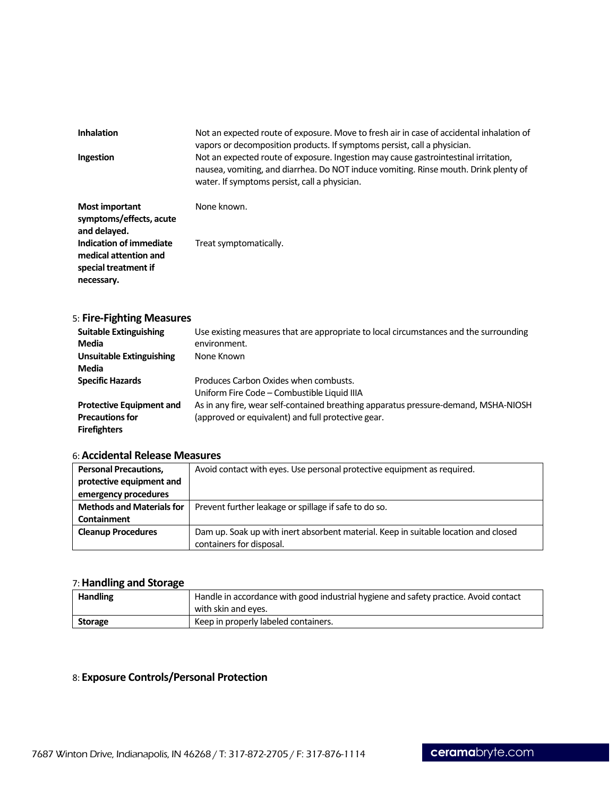| <b>Inhalation</b>                                                    | Not an expected route of exposure. Move to fresh air in case of accidental inhalation of<br>vapors or decomposition products. If symptoms persist, call a physician.                                                         |
|----------------------------------------------------------------------|------------------------------------------------------------------------------------------------------------------------------------------------------------------------------------------------------------------------------|
| Ingestion                                                            | Not an expected route of exposure. Ingestion may cause gastrointestinal irritation,<br>nausea, vomiting, and diarrhea. Do NOT induce vomiting. Rinse mouth. Drink plenty of<br>water. If symptoms persist, call a physician. |
| <b>Most important</b><br>symptoms/effects, acute<br>المميزماماه اممت | None known.                                                                                                                                                                                                                  |

| and delayed.            |                        |
|-------------------------|------------------------|
| Indication of immediate | Treat symptomatically. |
| medical attention and   |                        |
| special treatment if    |                        |
| necessary.              |                        |

# 5: **Fire-Fighting Measures**

| <b>Suitable Extinguishing</b>   | Use existing measures that are appropriate to local circumstances and the surrounding |
|---------------------------------|---------------------------------------------------------------------------------------|
| Media                           | environment.                                                                          |
| <b>Unsuitable Extinguishing</b> | None Known                                                                            |
| Media                           |                                                                                       |
| <b>Specific Hazards</b>         | Produces Carbon Oxides when combusts.                                                 |
|                                 | Uniform Fire Code - Combustible Liquid IIIA                                           |
| <b>Protective Equipment and</b> | As in any fire, wear self-contained breathing apparatus pressure-demand, MSHA-NIOSH   |
| <b>Precautions for</b>          | (approved or equivalent) and full protective gear.                                    |
| <b>Firefighters</b>             |                                                                                       |

# 6: **Accidental Release Measures**

| <b>Personal Precautions,</b>     | Avoid contact with eyes. Use personal protective equipment as required.             |
|----------------------------------|-------------------------------------------------------------------------------------|
| protective equipment and         |                                                                                     |
| emergency procedures             |                                                                                     |
| <b>Methods and Materials for</b> | Prevent further leakage or spillage if safe to do so.                               |
| <b>Containment</b>               |                                                                                     |
| <b>Cleanup Procedures</b>        | Dam up. Soak up with inert absorbent material. Keep in suitable location and closed |
|                                  | containers for disposal.                                                            |

# 7: **Handling and Storage**

| <b>Handling</b> | Handle in accordance with good industrial hygiene and safety practice. Avoid contact<br>with skin and eyes. |
|-----------------|-------------------------------------------------------------------------------------------------------------|
| <b>Storage</b>  | Keep in properly labeled containers.                                                                        |

# 8: **Exposure Controls/Personal Protection**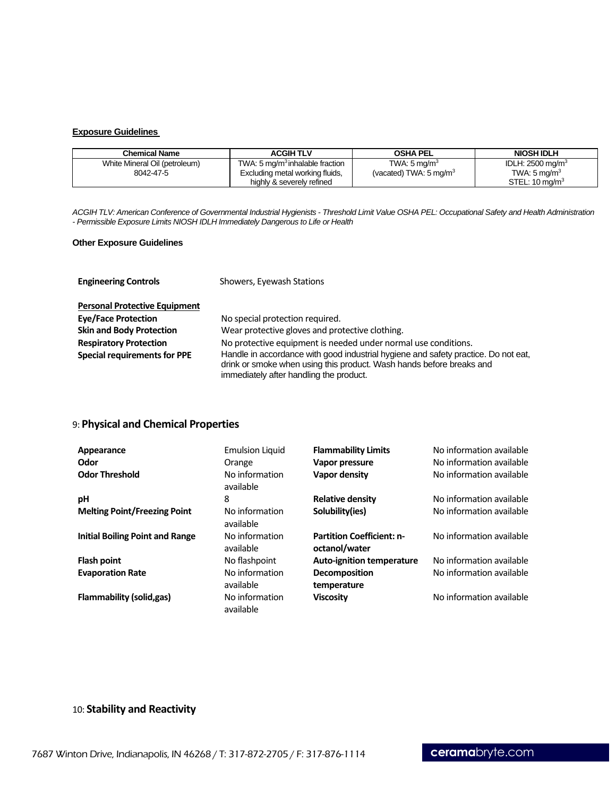#### **Exposure Guidelines**

| <b>Chemical Name</b>          | <b>ACGIH TLV</b>                            | <b>OSHA PEL</b>                   | <b>NIOSH IDLH</b>           |
|-------------------------------|---------------------------------------------|-----------------------------------|-----------------------------|
| White Mineral Oil (petroleum) | TWA: 5 mg/m <sup>3</sup> inhalable fraction | TWA: $5 \text{ ma/m}^3$           | IDLH: $2500 \text{ mg/m}^3$ |
| 8042-47-5                     | Excluding metal working fluids,             | (vacated) TWA: $5 \text{ mg/m}^3$ | TWA: $5 \text{ ma/m}^3$     |
|                               | highly & severely refined                   |                                   | STEL: $10 \text{ ma/m}^3$   |

*ACGIH TLV: American Conference of Governmental Industrial Hygienists - Threshold Limit Value OSHA PEL: Occupational Safety and Health Administration - Permissible Exposure Limits NIOSH IDLH Immediately Dangerous to Life or Health* 

#### **Other Exposure Guidelines**

| <b>Engineering Controls</b>          | Showers, Eyewash Stations                                                                                                                                                                             |  |  |
|--------------------------------------|-------------------------------------------------------------------------------------------------------------------------------------------------------------------------------------------------------|--|--|
| <b>Personal Protective Equipment</b> |                                                                                                                                                                                                       |  |  |
| <b>Eye/Face Protection</b>           | No special protection required.                                                                                                                                                                       |  |  |
| <b>Skin and Body Protection</b>      | Wear protective gloves and protective clothing.                                                                                                                                                       |  |  |
| <b>Respiratory Protection</b>        | No protective equipment is needed under normal use conditions.                                                                                                                                        |  |  |
| <b>Special requirements for PPE</b>  | Handle in accordance with good industrial hygiene and safety practice. Do not eat,<br>drink or smoke when using this product. Wash hands before breaks and<br>immediately after handling the product. |  |  |

# 9: **Physical and Chemical Properties**

| Appearance                             | <b>Emulsion Liquid</b>      | <b>Flammability Limits</b>                        | No information available |
|----------------------------------------|-----------------------------|---------------------------------------------------|--------------------------|
| Odor                                   | Orange                      | Vapor pressure                                    | No information available |
| <b>Odor Threshold</b>                  | No information<br>available | Vapor density                                     | No information available |
| рH                                     | 8                           | <b>Relative density</b>                           | No information available |
| <b>Melting Point/Freezing Point</b>    | No information<br>available | Solubility(ies)                                   | No information available |
| <b>Initial Boiling Point and Range</b> | No information<br>available | <b>Partition Coefficient: n-</b><br>octanol/water | No information available |
| <b>Flash point</b>                     | No flashpoint               | <b>Auto-ignition temperature</b>                  | No information available |
| <b>Evaporation Rate</b>                | No information<br>available | <b>Decomposition</b><br>temperature               | No information available |
| <b>Flammability (solid,gas)</b>        | No information<br>available | <b>Viscosity</b>                                  | No information available |

# 10: **Stability and Reactivity**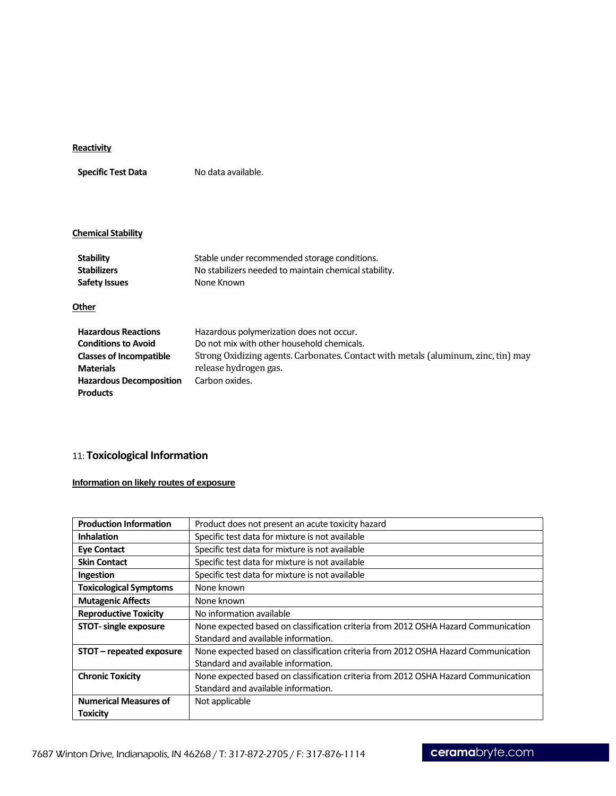# **Reactivity**

**Specific Test Data** No data available.

### **Chemical Stability**

| <b>Stability</b><br><b>Stabilizers</b><br><b>Safety Issues</b>                                                                                                      | Stable under recommended storage conditions.<br>No stabilizers needed to maintain chemical stability.<br>None Known                                                                                                     |
|---------------------------------------------------------------------------------------------------------------------------------------------------------------------|-------------------------------------------------------------------------------------------------------------------------------------------------------------------------------------------------------------------------|
| Other                                                                                                                                                               |                                                                                                                                                                                                                         |
| <b>Hazardous Reactions</b><br><b>Conditions to Avoid</b><br><b>Classes of Incompatible</b><br><b>Materials</b><br><b>Hazardous Decomposition</b><br><b>Products</b> | Hazardous polymerization does not occur.<br>Do not mix with other household chemicals.<br>Strong Oxidizing agents. Carbonates. Contact with metals (aluminum, zinc, tin) may<br>release hydrogen gas.<br>Carbon oxides. |

# 11: **Toxicological Information**

# **Information on likely routes of exposure**

| <b>Production Information</b> | Product does not present an acute toxicity hazard                                  |
|-------------------------------|------------------------------------------------------------------------------------|
| <b>Inhalation</b>             | Specific test data for mixture is not available                                    |
| <b>Eye Contact</b>            | Specific test data for mixture is not available                                    |
| <b>Skin Contact</b>           | Specific test data for mixture is not available                                    |
| Ingestion                     | Specific test data for mixture is not available                                    |
| <b>Toxicological Symptoms</b> | None known                                                                         |
| <b>Mutagenic Affects</b>      | None known                                                                         |
| <b>Reproductive Toxicity</b>  | No information available                                                           |
| <b>STOT-</b> single exposure  | None expected based on classification criteria from 2012 OSHA Hazard Communication |
|                               | Standard and available information.                                                |
| STOT - repeated exposure      | None expected based on classification criteria from 2012 OSHA Hazard Communication |
|                               | Standard and available information.                                                |
| <b>Chronic Toxicity</b>       | None expected based on classification criteria from 2012 OSHA Hazard Communication |
|                               | Standard and available information.                                                |
| <b>Numerical Measures of</b>  | Not applicable                                                                     |
| <b>Toxicity</b>               |                                                                                    |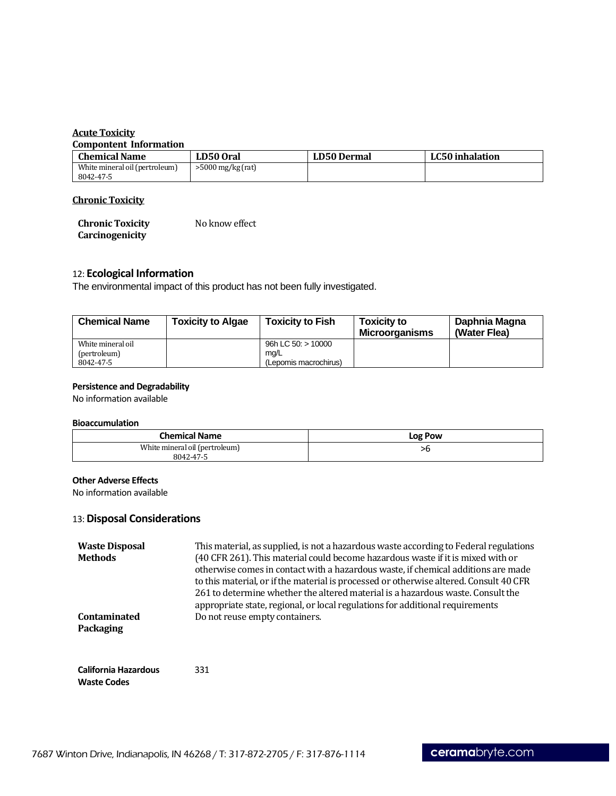# **Acute Toxicity**

#### **Compontent Information**

| <b>Chemical Name</b>           | LD50 Oral           | LD50 Dermal | LC50 inhalation |
|--------------------------------|---------------------|-------------|-----------------|
| White mineral oil (pertroleum) | $>5000$ mg/kg (rat) |             |                 |
| 8042-47-5                      |                     |             |                 |

# **Chronic Toxicity**

| <b>Chronic Toxicity</b> | No know effect |
|-------------------------|----------------|
| Carcinogenicity         |                |

# 12: **Ecological Information**

The environmental impact of this product has not been fully investigated.

| <b>Chemical Name</b> | <b>Toxicity to Algae</b> | <b>Toxicity to Fish</b> | <b>Toxicity to</b><br><b>Microorganisms</b> | Daphnia Magna<br>(Water Flea) |
|----------------------|--------------------------|-------------------------|---------------------------------------------|-------------------------------|
| White mineral oil    |                          | 96h LC 50: $> 10000$    |                                             |                               |
| (pertroleum)         |                          | mg/L                    |                                             |                               |
| 8042-47-5            |                          | (Lepomis macrochirus)   |                                             |                               |

# **Persistence and Degradability**

No information available

#### **Bioaccumulation**

| <b>Chemical Name</b>           | <b>Log Pow</b> |
|--------------------------------|----------------|
| White mineral oil (pertroleum) | ᄼ              |
| 8042-47-5                      |                |

## **Other Adverse Effects**

No information available

# 13: **Disposal Considerations**

| <b>Waste Disposal</b><br><b>Methods</b>    | This material, as supplied, is not a hazardous waste according to Federal regulations<br>(40 CFR 261). This material could become hazardous waste if it is mixed with or<br>otherwise comes in contact with a hazardous waste, if chemical additions are made<br>to this material, or if the material is processed or otherwise altered. Consult 40 CFR<br>261 to determine whether the altered material is a hazardous waste. Consult the<br>appropriate state, regional, or local regulations for additional requirements |
|--------------------------------------------|-----------------------------------------------------------------------------------------------------------------------------------------------------------------------------------------------------------------------------------------------------------------------------------------------------------------------------------------------------------------------------------------------------------------------------------------------------------------------------------------------------------------------------|
| Contaminated<br><b>Packaging</b>           | Do not reuse empty containers.                                                                                                                                                                                                                                                                                                                                                                                                                                                                                              |
| California Hazardous<br><b>Waste Codes</b> | 331                                                                                                                                                                                                                                                                                                                                                                                                                                                                                                                         |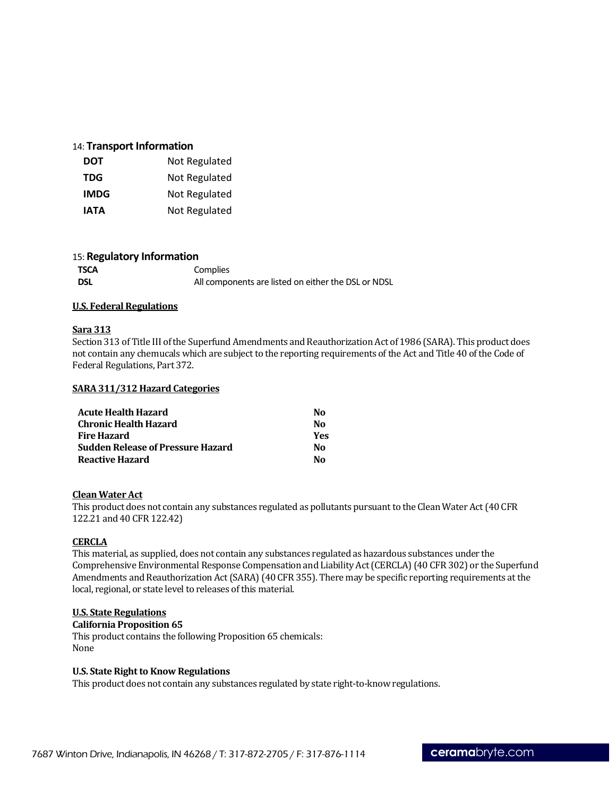# 14: **Transport Information**

| DOT         | Not Regulated |
|-------------|---------------|
| <b>TDG</b>  | Not Regulated |
| <b>IMDG</b> | Not Regulated |
| IATA        | Not Regulated |

## 15: **Regulatory Information**

| TSCA | Complies                                            |
|------|-----------------------------------------------------|
| DSL  | All components are listed on either the DSL or NDSL |

## **U.S. Federal Regulations**

#### **Sara 313**

Section 313 of Title III of the Superfund Amendments and Reauthorization Act of 1986 (SARA). This product does not contain any chemucals which are subject to the reporting requirements of the Act and Title 40 of the Code of Federal Regulations, Part 372.

#### **SARA 311/312 Hazard Categories**

| <b>Acute Health Hazard</b>               | Nο  |
|------------------------------------------|-----|
| <b>Chronic Health Hazard</b>             | Nο  |
| <b>Fire Hazard</b>                       | Yes |
| <b>Sudden Release of Pressure Hazard</b> | Nο  |
| <b>Reactive Hazard</b>                   | Nο  |

### **Clean Water Act**

This product does not contain any substances regulated as pollutants pursuant to the Clean Water Act (40 CFR 122.21 and 40 CFR 122.42)

## **CERCLA**

This material, as supplied, does not contain any substances regulated as hazardous substances under the Comprehensive Environmental Response Compensation and Liability Act(CERCLA) (40 CFR 302) or the Superfund Amendments and Reauthorization Act (SARA) (40 CFR 355). There may be specific reporting requirements at the local, regional, or state level to releases of this material.

## **U.S. State Regulations**

## **California Proposition 65**

This product contains the following Proposition 65 chemicals: None

### **U.S. State Right to Know Regulations**

This product does not contain any substances regulated by state right-to-know regulations.